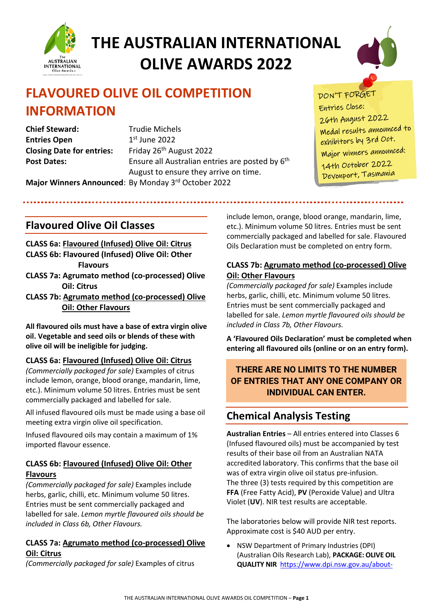



## **FLAVOURED OLIVE OIL COMPETITION INFORMATION**

**Chief Steward:** Trudie Michels **Entries Open** 1st June 2022 Closing Date for entries: Friday 26<sup>th</sup> August 2022

**Post Dates:** Ensure all Australian entries are posted by 6<sup>th</sup> August to ensure they arrive on time.



Entries Close: 26th August 2022 Medal results announced to exhibitors by 3rd Oct. Major winners announced:

14th October 2022

Devonport, Tasmania

**Major Winners Announced**: By Monday 3rd October 2022

### **Flavoured Olive Oil Classes**

**CLASS 6a: Flavoured (Infused) Olive Oil: Citrus CLASS 6b: Flavoured (Infused) Olive Oil: Other Flavours** 

- **CLASS 7a: Agrumato method (co-processed) Olive Oil: Citrus**
- **CLASS 7b: Agrumato method (co-processed) Olive Oil: Other Flavours**

**All flavoured oils must have a base of extra virgin olive oil. Vegetable and seed oils or blends of these with olive oil will be ineligible for judging.**

#### **CLASS 6a: Flavoured (Infused) Olive Oil: Citrus**

*(Commercially packaged for sale)* Examples of citrus include lemon, orange, blood orange, mandarin, lime, etc.). Minimum volume 50 litres. Entries must be sent commercially packaged and labelled for sale.

All infused flavoured oils must be made using a base oil meeting extra virgin olive oil specification.

Infused flavoured oils may contain a maximum of 1% imported flavour essence.

#### **CLASS 6b: Flavoured (Infused) Olive Oil: Other Flavours**

*(Commercially packaged for sale)* Examples include herbs, garlic, chilli, etc. Minimum volume 50 litres. Entries must be sent commercially packaged and labelled for sale. *Lemon myrtle flavoured oils should be included in Class 6b, Other Flavours.*

#### **CLASS 7a: Agrumato method (co-processed) Olive Oil: Citrus**

*(Commercially packaged for sale)* Examples of citrus

include lemon, orange, blood orange, mandarin, lime, etc.). Minimum volume 50 litres. Entries must be sent commercially packaged and labelled for sale. Flavoured Oils Declaration must be completed on entry form.

#### **CLASS 7b: Agrumato method (co-processed) Olive Oil: Other Flavours**

*(Commercially packaged for sale)* Examples include herbs, garlic, chilli, etc. Minimum volume 50 litres. Entries must be sent commercially packaged and labelled for sale. *Lemon myrtle flavoured oils should be included in Class 7b, Other Flavours.*

**A 'Flavoured Oils Declaration' must be completed when entering all flavoured oils (online or on an entry form).**

#### **THERE ARE NO LIMITS TO THE NUMBER OF ENTRIES THAT ANY ONE COMPANY OR INDIVIDUAL CAN ENTER.**

## **Chemical Analysis Testing**

**Australian Entries** – All entries entered into Classes 6 (Infused flavoured oils) must be accompanied by test results of their base oil from an Australian NATA accredited laboratory. This confirms that the base oil was of extra virgin olive oil status pre-infusion. The three (3) tests required by this competition are **FFA** (Free Fatty Acid), **PV** (Peroxide Value) and Ultra Violet (**UV**). NIR test results are acceptable.

The laboratories below will provide NIR test reports. Approximate cost is \$40 AUD per entry.

• NSW Department of Primary Industries (DPI) (Australian Oils Research Lab), **PACKAGE: OLIVE OIL QUALITY NIR** [https://www.dpi.nsw.gov.au/about-](https://www.dpi.nsw.gov.au/about-us/services/laboratory-services/olive-oil-testing/test-list-and-pricing)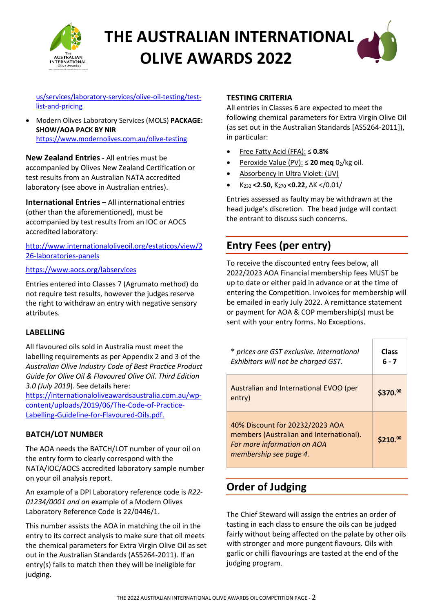

[us/services/laboratory-services/olive-oil-testing/test](https://www.dpi.nsw.gov.au/about-us/services/laboratory-services/olive-oil-testing/test-list-and-pricing)[list-and-pricing](https://www.dpi.nsw.gov.au/about-us/services/laboratory-services/olive-oil-testing/test-list-and-pricing)

• Modern Olives Laboratory Services (MOLS) **PACKAGE: SHOW/AOA PACK BY NIR** <https://www.modernolives.com.au/olive-testing>

**New Zealand Entries** - All entries must be accompanied by Olives New Zealand Certification or test results from an Australian NATA accredited laboratory (see above in Australian entries).

**International Entries –** All international entries (other than the aforementioned), must be accompanied by test results from an IOC or AOCS accredited laboratory:

[http://www.internationaloliveoil.org/estaticos/view/2](http://www.internationaloliveoil.org/estaticos/view/226-laboratories-panels) [26-laboratories-panels](http://www.internationaloliveoil.org/estaticos/view/226-laboratories-panels)

#### <https://www.aocs.org/labservices>

Entries entered into Classes 7 (Agrumato method) do not require test results, however the judges reserve the right to withdraw an entry with negative sensory attributes.

#### **LABELLING**

All flavoured oils sold in Australia must meet the labelling requirements as per Appendix 2 and 3 of the *Australian Olive Industry Code of Best Practice Product Guide for Olive Oil & Flavoured Olive Oil. Third Edition 3.0 (July 2019*). See details here:

[https://internationaloliveawardsaustralia.com.au/wp](https://internationaloliveawardsaustralia.com.au/wp-content/uploads/2019/06/The-Code-of-Practice-Labelling-Guideline-for-Flavoured-Oils.pdf.)[content/uploads/2019/06/The-Code-of-Practice-](https://internationaloliveawardsaustralia.com.au/wp-content/uploads/2019/06/The-Code-of-Practice-Labelling-Guideline-for-Flavoured-Oils.pdf.)[Labelling-Guideline-for-Flavoured-Oils.pdf.](https://internationaloliveawardsaustralia.com.au/wp-content/uploads/2019/06/The-Code-of-Practice-Labelling-Guideline-for-Flavoured-Oils.pdf.)

#### **BATCH/LOT NUMBER**

The AOA needs the BATCH/LOT number of your oil on the entry form to clearly correspond with the NATA/IOC/AOCS accredited laboratory sample number on your oil analysis report.

An example of a DPI Laboratory reference code is *R22- 01234/0001 and an* example of a Modern Olives Laboratory Reference Code is 22/0446/1.

This number assists the AOA in matching the oil in the entry to its correct analysis to make sure that oil meets the chemical parameters for Extra Virgin Olive Oil as set out in the Australian Standards (AS5264-2011). If an entry(s) fails to match then they will be ineligible for judging.

#### **TESTING CRITERIA**

All entries in Classes 6 are expected to meet the following chemical parameters for Extra Virgin Olive Oil (as set out in the Australian Standards [AS5264-2011]), in particular:

- Free Fatty Acid (FFA): ≤ **0.8%**
- Peroxide Value (PV): ≤ 20 meq 02/kg oil.
- Absorbency in Ultra Violet: (UV)
- K232 **<2.50,** K270 **<0.22,** ∆K </0.01/

Entries assessed as faulty may be withdrawn at the head judge's discretion. The head judge will contact the entrant to discuss such concerns.

### **Entry Fees (per entry)**

To receive the discounted entry fees below, all 2022/2023 AOA Financial membership fees MUST be up to date or either paid in advance or at the time of entering the Competition. Invoices for membership will be emailed in early July 2022. A remittance statement or payment for AOA & COP membership(s) must be sent with your entry forms. No Exceptions.

| * prices are GST exclusive. International<br>Exhibitors will not be charged GST.                                                    | Class<br>6 - 7       |
|-------------------------------------------------------------------------------------------------------------------------------------|----------------------|
| Australian and International EVOO (per<br>entry)                                                                                    | \$370.00             |
| 40% Discount for 20232/2023 AOA<br>members (Australian and International).<br>For more information on AOA<br>membership see page 4. | \$210. <sup>00</sup> |

## **Order of Judging**

The Chief Steward will assign the entries an order of tasting in each class to ensure the oils can be judged fairly without being affected on the palate by other oils with stronger and more pungent flavours. Oils with garlic or chilli flavourings are tasted at the end of the judging program.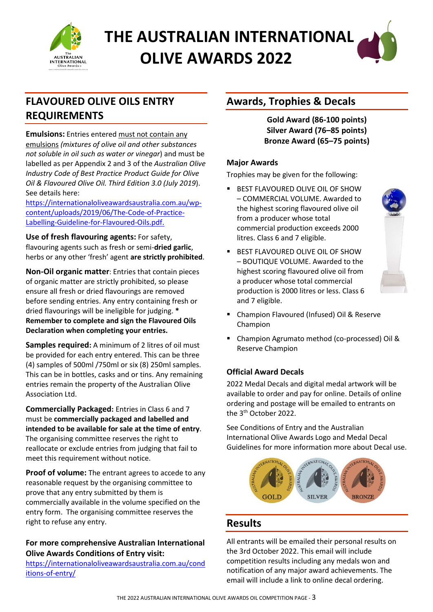



## **FLAVOURED OLIVE OILS ENTRY REQUIREMENTS**

**Emulsions:** Entries entered must not contain any emulsions *(mixtures of olive oil and other substances not soluble in oil such as water or vinegar*) and must be labelled as per Appendix 2 and 3 of the *Australian Olive Industry Code of Best Practice Product Guide for Olive Oil & Flavoured Olive Oil. Third Edition 3.0 (July 2019*). See details here:

[https://internationaloliveawardsaustralia.com.au/wp](https://internationaloliveawardsaustralia.com.au/wp-content/uploads/2019/06/The-Code-of-Practice-Labelling-Guideline-for-Flavoured-Oils.pdf)[content/uploads/2019/06/The-Code-of-Practice-](https://internationaloliveawardsaustralia.com.au/wp-content/uploads/2019/06/The-Code-of-Practice-Labelling-Guideline-for-Flavoured-Oils.pdf)[Labelling-Guideline-for-Flavoured-Oils.pdf.](https://internationaloliveawardsaustralia.com.au/wp-content/uploads/2019/06/The-Code-of-Practice-Labelling-Guideline-for-Flavoured-Oils.pdf) 

**Use of fresh flavouring agents:** For safety, flavouring agents such as fresh or semi-**dried garlic**, herbs or any other 'fresh' agent **are strictly prohibited**.

**Non-Oil organic matter**: Entries that contain pieces of organic matter are strictly prohibited, so please ensure all fresh or dried flavourings are removed before sending entries. Any entry containing fresh or dried flavourings will be ineligible for judging. **\* Remember to complete and sign the Flavoured Oils Declaration when completing your entries.** 

**Samples required:** A minimum of 2 litres of oil must be provided for each entry entered. This can be three (4) samples of 500ml /750ml or six (8) 250ml samples. This can be in bottles, casks and or tins. Any remaining entries remain the property of the Australian Olive Association Ltd.

**Commercially Packaged:** Entries in Class 6 and 7 must be **commercially packaged and labelled and intended to be available for sale at the time of entry**. The organising committee reserves the right to reallocate or exclude entries from judging that fail to meet this requirement without notice.

**Proof of volume:** The entrant agrees to accede to any reasonable request by the organising committee to prove that any entry submitted by them is commercially available in the volume specified on the entry form. The organising committee reserves the right to refuse any entry.

#### **For more comprehensive Australian International Olive Awards Conditions of Entry visit:**

[https://internationaloliveawardsaustralia.com.au/cond](https://internationaloliveawardsaustralia.com.au/conditions-of-entry/) [itions-of-entry/](https://internationaloliveawardsaustralia.com.au/conditions-of-entry/)

## **Awards, Trophies & Decals**

**Gold Award (86-100 points) Silver Award (76–85 points) Bronze Award (65–75 points)**

#### **Major Awards**

Trophies may be given for the following:

- **BEST FLAVOURED OLIVE OIL OF SHOW** – COMMERCIAL VOLUME. Awarded to the highest scoring flavoured olive oil from a producer whose total commercial production exceeds 2000 litres. Class 6 and 7 eligible.
- **BEST FLAVOURED OLIVE OIL OF SHOW** – BOUTIQUE VOLUME. Awarded to the highest scoring flavoured olive oil from a producer whose total commercial production is 2000 litres or less. Class 6 and 7 eligible.



- Champion Flavoured (Infused) Oil & Reserve Champion
- Champion Agrumato method (co-processed) Oil & Reserve Champion

#### **Official Award Decals**

2022 Medal Decals and digital medal artwork will be available to order and pay for online. Details of online ordering and postage will be emailed to entrants on the 3<sup>th</sup> October 2022.

See Conditions of Entry and the Australian International Olive Awards Logo and Medal Decal Guidelines for more information more about Decal use.



## **Results**

All entrants will be emailed their personal results on the 3rd October 2022. This email will include competition results including any medals won and notification of any major award achievements. The email will include a link to online decal ordering.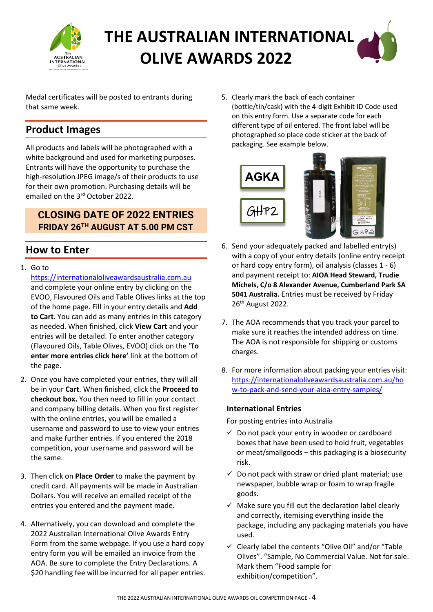

Medal certificates will be posted to entrants during that same week.

### **Product Images**

All products and labels will be photographed with a white background and used for marketing purposes. Entrants will have the opportunity to purchase the high-resolution JPEG image/s of their products to use for their own promotion. Purchasing details will be emailed on the 3rd October 2022.

#### **CLOSING DATE OF 2022 ENTRIES FRIDAY 26TH AUGUST AT 5.00 PM CST**

### **How to Enter**

1. Go to

[https://internationaloliveawardsaustralia.com.au](https://internationaloliveawardsaustralia.com.au/)  and complete your online entry by clicking on the EVOO, Flavoured Oils and Table Olives links at the top of the home page. Fill in your entry details and **Add to Cart**. You can add as many entries in this category as needed. When finished, click **View Cart** and your entries will be detailed. To enter another category (Flavoured Oils, Table Olives, EVOO) click on the '**To enter more entries click here'** link at the bottom of the page.

- 2. Once you have completed your entries, they will all be in your **Cart**. When finished, click the **Proceed to checkout box.** You then need to fill in your contact and company billing details. When you first register with the online entries, you will be emailed a username and password to use to view your entries and make further entries. If you entered the 2018 competition, your username and password will be the same.
- 3. Then click on **Place Order** to make the payment by credit card. All payments will be made in Australian Dollars. You will receive an emailed receipt of the entries you entered and the payment made.
- 4. Alternatively, you can download and complete the 2022 Australian International Olive Awards Entry Form from the same webpage. If you use a hard copy entry form you will be emailed an invoice from the AOA. Be sure to complete the Entry Declarations. A \$20 handling fee will be incurred for all paper entries.

5. Clearly mark the back of each container (bottle/tin/cask) with the 4-digit Exhibit ID Code used on this entry form. Use a separate code for each different type of oil entered. The front label will be photographed so place code sticker at the back of packaging. See example below.



- 6. Send your adequately packed and labelled entry(s) with a copy of your entry details (online entry receipt or hard copy entry form), oil analysis (classes 1 - 6) and payment receipt to: **AIOA Head Steward, Trudie Michels, C/o 8 Alexander Avenue, Cumberland Park SA 5041 Australia.** Entries must be received by Friday 26th August 2022.
- 7. The AOA recommends that you track your parcel to make sure it reaches the intended address on time. The AOA is not responsible for shipping or customs charges.
- 8. For more information about packing your entries visit: [https://internationaloliveawardsaustralia.com.au/ho](https://internationaloliveawardsaustralia.com.au/how-to-pack-and-send-your-aioa-entry-samples/) [w-to-pack-and-send-your-aioa-entry-samples/](https://internationaloliveawardsaustralia.com.au/how-to-pack-and-send-your-aioa-entry-samples/)

#### **International Entries**

For posting entries into Australia

- $\checkmark$  Do not pack your entry in wooden or cardboard boxes that have been used to hold fruit, vegetables or meat/smallgoods – this packaging is a biosecurity risk.
- $\checkmark$  Do not pack with straw or dried plant material; use newspaper, bubble wrap or foam to wrap fragile goods.
- $\checkmark$  Make sure you fill out the declaration label clearly and correctly, itemising everything inside the package, including any packaging materials you have used.
- $\checkmark$  Clearly label the contents "Olive Oil" and/or "Table Olives". "Sample, No Commercial Value. Not for sale. Mark them "Food sample for exhibition/competition".